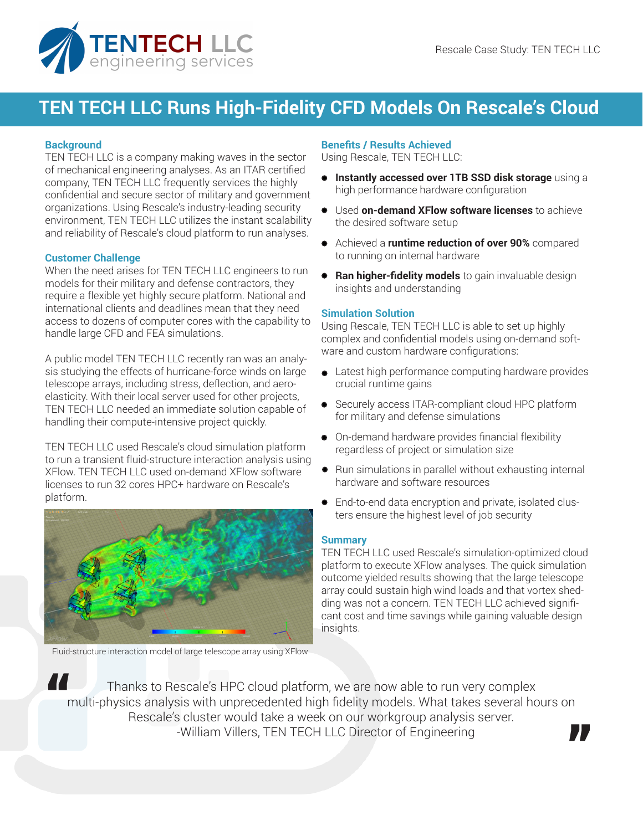

# **TEN TECH LLC Runs High-Fidelity CFD Models On Rescale's Cloud**

## **Background**

TEN TECH LLC is a company making waves in the sector of mechanical engineering analyses. As an ITAR certified company, TEN TECH LLC frequently services the highly confidential and secure sector of military and government organizations. Using Rescale's industry-leading security environment, TEN TECH LLC utilizes the instant scalability and reliability of Rescale's cloud platform to run analyses.

## **Customer Challenge**

When the need arises for TEN TECH LLC engineers to run models for their military and defense contractors, they require a flexible yet highly secure platform. National and international clients and deadlines mean that they need access to dozens of computer cores with the capability to handle large CFD and FEA simulations.

A public model TEN TECH LLC recently ran was an analysis studying the effects of hurricane-force winds on large telescope arrays, including stress, deflection, and aeroelasticity. With their local server used for other projects, TEN TECH LLC needed an immediate solution capable of handling their compute-intensive project quickly.

TEN TECH LLC used Rescale's cloud simulation platform to run a transient fluid-structure interaction analysis using XFlow. TEN TECH LLC used on-demand XFlow software licenses to run 32 cores HPC+ hardware on Rescale's platform.



Fluid-structure interaction model of large telescope array using XFlow

# **Benefits / Results Achieved**

Using Rescale, TEN TECH LLC:

- **Instantly accessed over 1TB SSD disk storage** using a high performance hardware configuration
- Used **on-demand XFlow software licenses** to achieve the desired software setup
- Achieved a **runtime reduction of over 90%** compared to running on internal hardware
- **Ran higher-fidelity models** to gain invaluable design insights and understanding

## **Simulation Solution**

Using Rescale, TEN TECH LLC is able to set up highly complex and confidential models using on-demand software and custom hardware configurations:

- Latest high performance computing hardware provides crucial runtime gains
- Securely access ITAR-compliant cloud HPC platform for military and defense simulations
- On-demand hardware provides financial flexibility regardless of project or simulation size
- Run simulations in parallel without exhausting internal hardware and software resources
- $\bullet$ End-to-end data encryption and private, isolated clusters ensure the highest level of job security

### **Summary**

TEN TECH LLC used Rescale's simulation-optimized cloud platform to execute XFlow analyses. The quick simulation outcome yielded results showing that the large telescope array could sustain high wind loads and that vortex shedding was not a concern. TEN TECH LLC achieved significant cost and time savings while gaining valuable design insights.

**וו**<br>" Thanks to Rescale's HPC cloud platform, we are now able to run very complex multi-physics analysis with unprecedented high fidelity models. What takes several hours on<br>Rescale's cluster would take a week on our workgroup analysis server.<br>William Villers, TEN TECH LLC Director of Engineering Rescale's cluster would take a week on our workgroup analysis server. -William Villers, TEN TECH LLC Director of Engineering